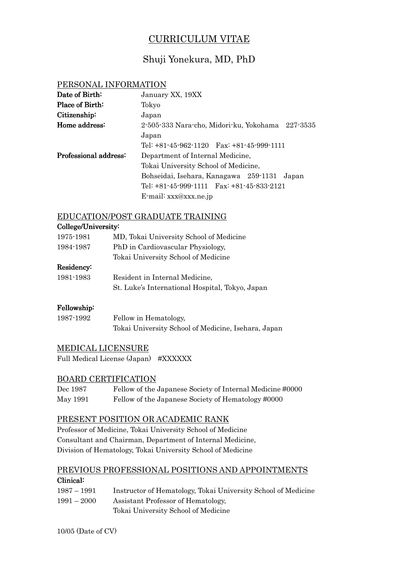# CURRICULUM VITAE

## Shuji Yonekura, MD, PhD

## PERSONAL INFORMATION

| Date of Birth:         | January XX, 19XX                                 |
|------------------------|--------------------------------------------------|
| <b>Place of Birth:</b> | Tokyo                                            |
| Citizenship:           | Japan                                            |
| Home address:          | 2-505-333 Nara-cho, Midori-ku, Yokohama 227-3535 |
|                        | Japan                                            |
|                        | Tel: $+81-45-962-1120$ Fax: $+81-45-999-1111$    |
| Professional address:  | Department of Internal Medicine,                 |
|                        | Tokai University School of Medicine,             |
|                        | Bohseidai, Isehara, Kanagawa 259-1131<br>Japan   |
|                        | Tel: $+81-45-999-1111$ Fax: $+81-45-833-2121$    |
|                        | E-mail: xxx@xxx.ne.jp                            |

#### EDUCATION/POST GRADUATE TRAINING

## College/University: College/University: 1975-1981 MD, Tokai University School of Medicine 1984-1987 PhD in Cardiovascular Physiology, Tokai University School of Medicine Residency: Residency: 1981-1983 Resident in Internal Medicine, St. Luke's International Hospital, Tokyo, Japan

## Fellowship: Fellowship:

| 1987-1992 | Fellow in Hematology,                               |
|-----------|-----------------------------------------------------|
|           | Tokai University School of Medicine, Isehara, Japan |

## MEDICAL LICENSURE

Full Medical License (Japan) #XXXXXX

## BOARD CERTIFICATION

| Dec 1987 | Fellow of the Japanese Society of Internal Medicine #0000 |
|----------|-----------------------------------------------------------|
| May 1991 | Fellow of the Japanese Society of Hematology #0000        |

## PRESENT POSITION OR ACADEMIC RANK

Professor of Medicine, Tokai University School of Medicine Consultant and Chairman, Department of Internal Medicine, Division of Hematology, Tokai University School of Medicine

## PREVIOUS PROFESSIONAL POSITIONS AND APPOINTMENTS Clinical:

| 1987 – 1991   | Instructor of Hematology, Tokai University School of Medicine |
|---------------|---------------------------------------------------------------|
| $1991 - 2000$ | Assistant Professor of Hematology,                            |
|               | Tokai University School of Medicine                           |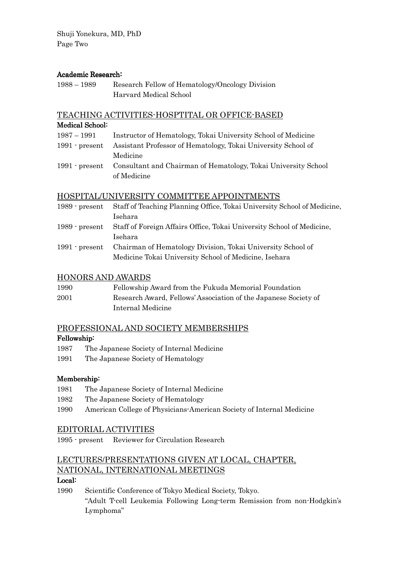Shuji Yonekura, MD, PhD Page Two

## Academic Research:

| $1988 - 1989$ | Research Fellow of Hematology/Oncology Division |
|---------------|-------------------------------------------------|
|               | Harvard Medical School                          |

#### TEACHING ACTIVITIES-HOSPTITAL OR OFFICE-BASED

#### Medical School:

| 1987 – 1991      | Instructor of Hematology, Tokai University School of Medicine                 |
|------------------|-------------------------------------------------------------------------------|
| $1991$ c present | Assistant Professor of Hematology, Tokai University School of                 |
|                  | Medicine                                                                      |
|                  | 1991 - present Consultant and Chairman of Hematology, Tokai University School |
|                  | of Medicine                                                                   |

## HOSPITAL/UNIVERSITY COMMITTEE APPOINTMENTS

| Staff of Teaching Planning Office, Tokai University School of Medicine, |
|-------------------------------------------------------------------------|
| Isehara                                                                 |
| Staff of Foreign Affairs Office, Tokai University School of Medicine,   |
| Isehara                                                                 |
| Chairman of Hematology Division, Tokai University School of             |
| Medicine Tokai University School of Medicine, Isehara                   |
|                                                                         |

#### HONORS AND AWARDS

| 1990 | Fellowship Award from the Fukuda Memorial Foundation            |
|------|-----------------------------------------------------------------|
| 2001 | Research Award, Fellows' Association of the Japanese Society of |
|      | Internal Medicine                                               |

## PROFESSIONAL AND SOCIETY MEMBERSHIPS

#### Fellowship:

- 1987 The Japanese Society of Internal Medicine
- 1991 The Japanese Society of Hematology

#### Membership:

- 1981 The Japanese Society of Internal Medicine
- 1982 The Japanese Society of Hematology
- 1990 American College of Physicians-American Society of Internal Medicine

#### EDITORIAL ACTIVITIES

1995 - present Reviewer for Circulation Research

## LECTURES/PRESENTATIONS GIVEN AT LOCAL, CHAPTER, NATIONAL, INTERNATIONAL MEETINGS

## Local:

1990 Scientific Conference of Tokyo Medical Society, Tokyo. "Adult T-cell Leukemia Following Long-term Remission from non-Hodgkin's Lymphoma"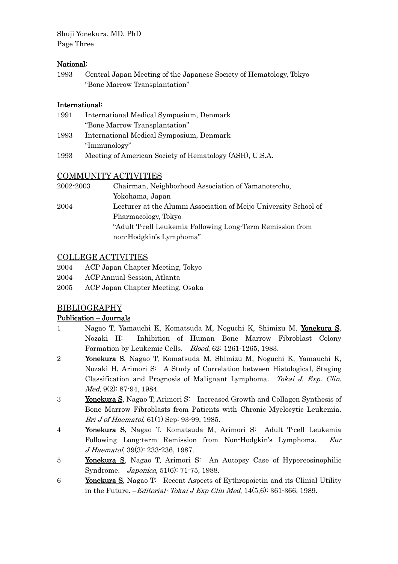Shuji Yonekura, MD, PhD Page Three

## National:

1993 Central Japan Meeting of the Japanese Society of Hematology, Tokyo "Bone Marrow Transplantation"

## International: International:

- 1991 International Medical Symposium, Denmark "Bone Marrow Transplantation" 1993 International Medical Symposium, Denmark "Immunology"
- 1993 Meeting of American Society of Hematology (ASH), U.S.A.

## COMMUNITY ACTIVITIES

| 2002-2003 | Chairman, Neighborhood Association of Yamanote-cho,              |
|-----------|------------------------------------------------------------------|
|           | Yokohama, Japan                                                  |
| 2004      | Lecturer at the Alumni Association of Meijo University School of |
|           | Pharmacology, Tokyo                                              |
|           | "Adult T-cell Leukemia Following Long-Term Remission from        |
|           | non-Hodgkin's Lymphoma"                                          |

## COLLEGE ACTIVITIES

- 2004 ACP Japan Chapter Meeting, Tokyo
- 2004 ACP Annual Session, Atlanta
- 2005 ACP Japan Chapter Meeting, Osaka

## BIBLIOGRAPHY

## Publication – Journals

- 1 Nagao T, Yamauchi K, Komatsuda M, Noguchi K, Shimizu M, Yonekura S, Nozaki H: Inhibition of Human Bone Marrow Fibroblast Colony Formation by Leukemic Cells. Blood, 62: 1261-1265, 1983.
- 2 Yonekura S Yonekura S, Nagao T, Komatsuda M, Shimizu M, Noguchi K, Yamauchi K, Nozaki H, Arimori S: A Study of Correlation between Histological, Staging Classification and Prognosis of Malignant Lymphoma. Tokai J. Exp. Clin. Med, 9(2): 87-94, 1984.
- 3 Yonekura S, Nagao T, Arimori S: Increased Growth and Collagen Synthesis of Bone Marrow Fibroblasts from Patients with Chronic Myelocytic Leukemia. Bri J of Haematol, 61(1) Sep: 93-99, 1985.
- 4 Yonekura S, Nagao T, Komatsuda M, Arimori S: Adult T-cell Leukemia Following Long-term Remission from Non-Hodgkin's Lymphoma. Eur J Haematol, 39(3): 233-236, 1987.
- 5 **Yonekura S**, Nagao T, Arimori S: An Autopsy Case of Hypereosinophilic Syndrome. Japonica, 51(6): 71-75, 1988.
- 6 Yonekura Yonekura S, Nagao T: Recent Aspects of Eythropoietin and its Clinial Utility in the Future.  $-Edt$  *Tokai J Exp Clin Med*,  $14(5,6)$ : 361-366, 1989.